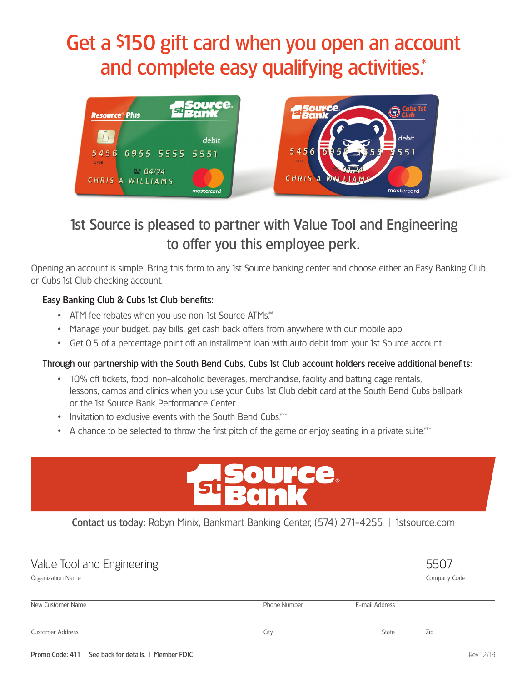# Get a \$150 gift card when you open an account and complete easy qualifying activities.\*



## 1st Source is pleased to partner with Value Tool and Engineering to offer you this employee perk.

Opening an account is simple. Bring this form to any 1st Source banking center and choose either an Easy Banking Club or Cubs 1st Club checking account.

#### Easy Banking Club & Cubs 1st Club benefits:

- ATM fee rebates when you use non-1st Source ATMs.\*\*
- Manage your budget, pay bills, get cash back offers from anywhere with our mobile app.
- Get 0.5 of a percentage point off an installment loan with auto debit from your 1st Source account.

#### Through our partnership with the South Bend Cubs, Cubs 1st Club account holders receive additional benefits:

- 10% off tickets, food, non-alcoholic beverages, merchandise, facility and batting cage rentals, lessons, camps and clinics when you use your Cubs 1st Club debit card at the South Bend Cubs ballpark or the 1st Source Bank Performance Center.
- Invitation to exclusive events with the South Bend Cubs.\*\*\*
- A chance to be selected to throw the first pitch of the game or enjoy seating in a private suite.<sup>\*\*\*</sup>



Contact us today: Robyn Minix, Bankmart Banking Center, (574) 271-4255 | 1stsource.com

| Value Tool and Engineering |              |                | 5507         |
|----------------------------|--------------|----------------|--------------|
| Organization Name          |              |                | Company Code |
| New Customer Name          | Phone Number | E-mail Address |              |
| <b>Customer Address</b>    | City         | <b>State</b>   | Zip          |